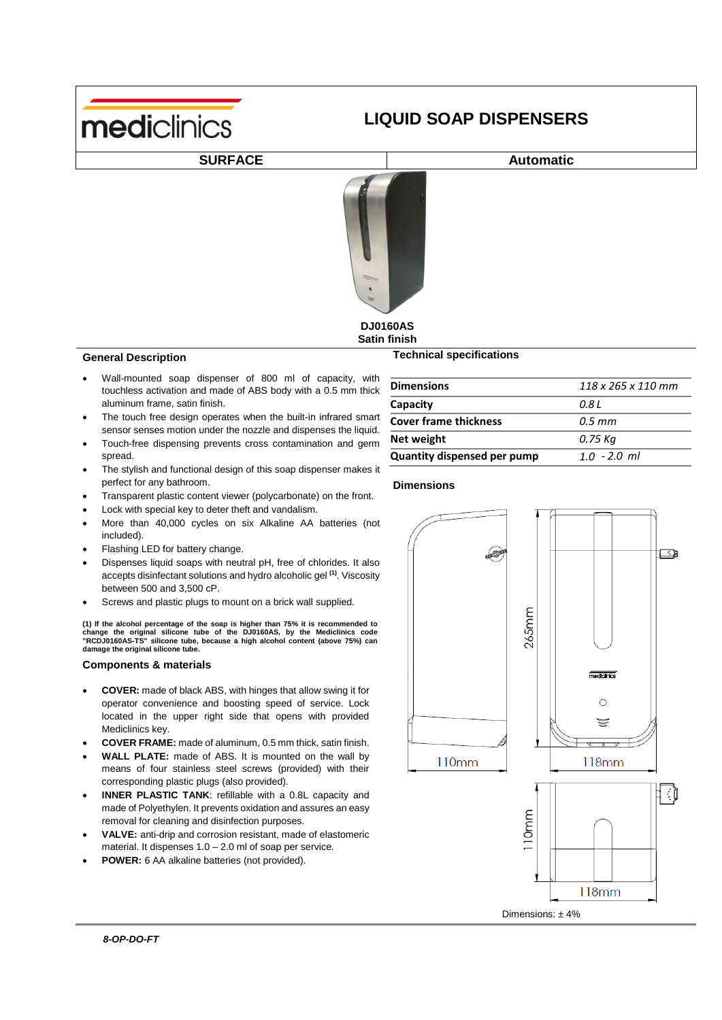

# **LIQUID SOAP DISPENSERS**

## **SURFACE Automatic**



#### **DJ0160AS Satin finish**

#### **General Description**

- Wall-mounted soap dispenser of touchless activation and made of A aluminum frame, satin finish.
- The touch free design operates wh sensor senses motion under the nozzle and dispenses the liquid.
- Touch-free dispensing prevents cross contamination and germ spread.
- The stylish and functional design of this soap dispenser makes it perfect for any bathroom.
- Transparent plastic content viewer (polycarbonate) on the front.
- Lock with special key to deter theft and vandalism.
- More than 40,000 cycles on six Alkaline AA batteries (not included).
- Flashing LED for battery change.
- Dispenses liquid soaps with neutral pH, free of chlorides. It also accepts disinfectant solutions and hydro alcoholic gel **(1)** . Viscosity between 500 and 3,500 cP.
- Screws and plastic plugs to mount on a brick wall supplied.

(1) If the alcohol percentage of the soap is higher than 75% it is recommended to<br>change the original silicone tube of the DJ0160AS, by the Mediclinics code<br>"RCDJ0160AS-TS" silicone tube, because a high alcohol content (ab **damage the original silicone tube.**

#### **Components & materials**

- **COVER:** made of black ABS, with hinges that allow swing it for operator convenience and boosting speed of service. Lock located in the upper right side that opens with provided Mediclinics key.
- **COVER FRAME:** made of aluminum, 0.5 mm thick, satin finish.
- **WALL PLATE:** made of ABS. It is mounted on the wall by means of four stainless steel screws (provided) with their corresponding plastic plugs (also provided).
- **INNER PLASTIC TANK**: refillable with a 0.8L capacity and made of Polyethylen. It prevents oxidation and assures an easy removal for cleaning and disinfection purposes.
- **VALVE:** anti-drip and corrosion resistant, made of elastomeric material. It dispenses 1.0 – 2.0 ml of soap per service.
- **POWER:** 6 AA alkaline batteries (not provided).

le াবিং  $265$ mm medicinics  $\bigcirc$ ₩  $\overline{\mathscr{S}}$ 110mm 118mm ીં  $110mm$  $118mm$ Dimensions: ±4%

| 800 ml of capacity, with<br>BS body with a 0.5 mm thick           | <b>Dimensions</b>            |
|-------------------------------------------------------------------|------------------------------|
|                                                                   | Capacity                     |
| en the built-in infrared smart<br>hiunil and disnansas tha liquid | <b>Cover frame thickness</b> |

**Technical specifications**

| <b>Dimensions</b>                  | $118 \times 265 \times 110$ mm |
|------------------------------------|--------------------------------|
| Capacity                           | 0.8 L                          |
| <b>Cover frame thickness</b>       | $0.5$ mm                       |
| Net weight                         | 0.75 Ka                        |
| <b>Quantity dispensed per pump</b> | $1.0 - 2.0$ ml                 |

#### **Dimensions /pulsación**